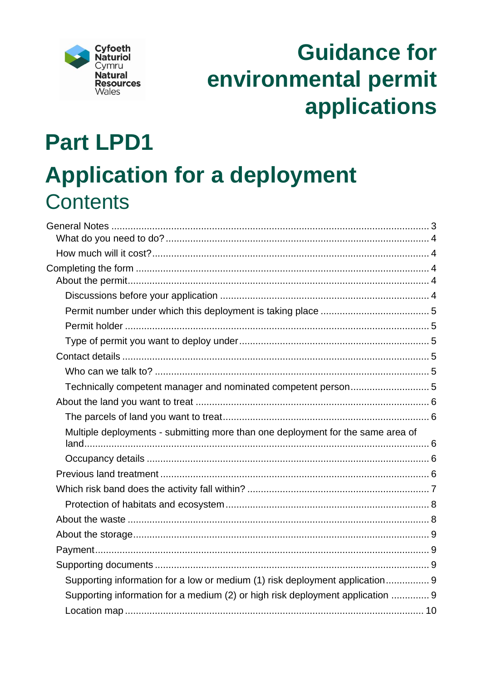

# **Guidance for** environmental permit applications

# **Part LPD1 Application for a deployment Contents**

| Multiple deployments - submitting more than one deployment for the same area of |  |
|---------------------------------------------------------------------------------|--|
|                                                                                 |  |
|                                                                                 |  |
|                                                                                 |  |
|                                                                                 |  |
|                                                                                 |  |
|                                                                                 |  |
|                                                                                 |  |
|                                                                                 |  |
|                                                                                 |  |
| Supporting information for a low or medium (1) risk deployment application 9    |  |
| Supporting information for a medium (2) or high risk deployment application  9  |  |
|                                                                                 |  |
|                                                                                 |  |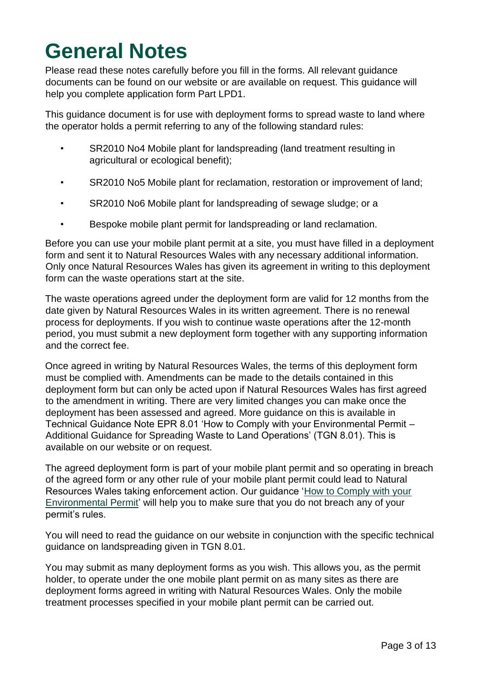## <span id="page-2-0"></span>**General Notes**

Please read these notes carefully before you fill in the forms. All relevant guidance documents can be found on our website or are available on request. This guidance will help you complete application form Part LPD1.

This guidance document is for use with deployment forms to spread waste to land where the operator holds a permit referring to any of the following standard rules:

- SR2010 No4 Mobile plant for landspreading (land treatment resulting in agricultural or ecological benefit);
- SR2010 No5 Mobile plant for reclamation, restoration or improvement of land;
- SR2010 No6 Mobile plant for landspreading of sewage sludge; or a
- Bespoke mobile plant permit for landspreading or land reclamation.

Before you can use your mobile plant permit at a site, you must have filled in a deployment form and sent it to Natural Resources Wales with any necessary additional information. Only once Natural Resources Wales has given its agreement in writing to this deployment form can the waste operations start at the site.

The waste operations agreed under the deployment form are valid for 12 months from the date given by Natural Resources Wales in its written agreement. There is no renewal process for deployments. If you wish to continue waste operations after the 12-month period, you must submit a new deployment form together with any supporting information and the correct fee.

Once agreed in writing by Natural Resources Wales, the terms of this deployment form must be complied with. Amendments can be made to the details contained in this deployment form but can only be acted upon if Natural Resources Wales has first agreed to the amendment in writing. There are very limited changes you can make once the deployment has been assessed and agreed. More guidance on this is available in Technical Guidance Note EPR 8.01 'How to Comply with your Environmental Permit – Additional Guidance for Spreading Waste to Land Operations' (TGN 8.01). This is available on our website or on request.

The agreed deployment form is part of your mobile plant permit and so operating in breach of the agreed form or any other rule of your mobile plant permit could lead to Natural Resources Wales taking enforcement action. Our guidance ['How to Comply with your](https://naturalresources.wales/permits-and-permissions/environmental-permits/guidance-to-help-you-comply-with-your-environmental-permit/?lang=en) [Environmental Permit'](https://naturalresources.wales/permits-and-permissions/environmental-permits/guidance-to-help-you-comply-with-your-environmental-permit/?lang=en) will help you to make sure that you do not breach any of your permit's rules.

You will need to read the guidance on our website in conjunction with the specific technical guidance on landspreading given in TGN 8.01.

You may submit as many deployment forms as you wish. This allows you, as the permit holder, to operate under the one mobile plant permit on as many sites as there are deployment forms agreed in writing with Natural Resources Wales. Only the mobile treatment processes specified in your mobile plant permit can be carried out.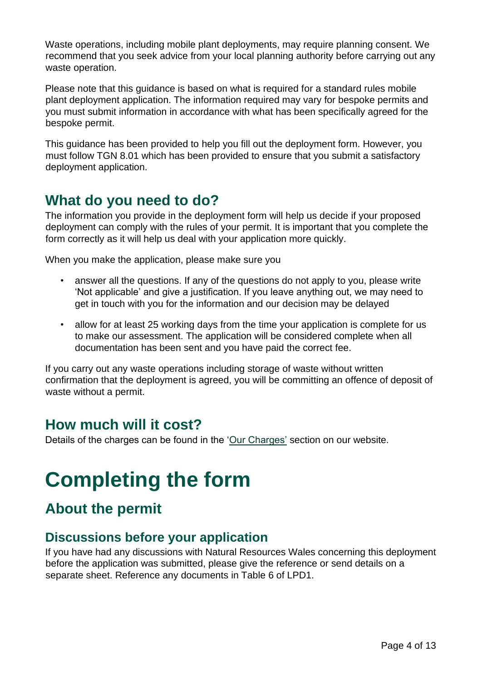Waste operations, including mobile plant deployments, may require planning consent. We recommend that you seek advice from your local planning authority before carrying out any waste operation.

Please note that this guidance is based on what is required for a standard rules mobile plant deployment application. The information required may vary for bespoke permits and you must submit information in accordance with what has been specifically agreed for the bespoke permit.

This guidance has been provided to help you fill out the deployment form. However, you must follow TGN 8.01 which has been provided to ensure that you submit a satisfactory deployment application.

## <span id="page-3-0"></span>**What do you need to do?**

The information you provide in the deployment form will help us decide if your proposed deployment can comply with the rules of your permit. It is important that you complete the form correctly as it will help us deal with your application more quickly.

When you make the application, please make sure you

- answer all the questions. If any of the questions do not apply to you, please write 'Not applicable' and give a justification. If you leave anything out, we may need to get in touch with you for the information and our decision may be delayed
- allow for at least 25 working days from the time your application is complete for us to make our assessment. The application will be considered complete when all documentation has been sent and you have paid the correct fee.

If you carry out any waste operations including storage of waste without written confirmation that the deployment is agreed, you will be committing an offence of deposit of waste without a permit.

## <span id="page-3-1"></span>**How much will it cost?**

Details of the charges can be found in the ['Our Charges'](https://naturalresources.wales/about-us/what-we-do/how-we-regulate-you/our-charges/?lang=en) section on our website.

## <span id="page-3-2"></span>**Completing the form**

## <span id="page-3-3"></span>**About the permit**

#### <span id="page-3-4"></span>**Discussions before your application**

If you have had any discussions with Natural Resources Wales concerning this deployment before the application was submitted, please give the reference or send details on a separate sheet. Reference any documents in Table 6 of LPD1.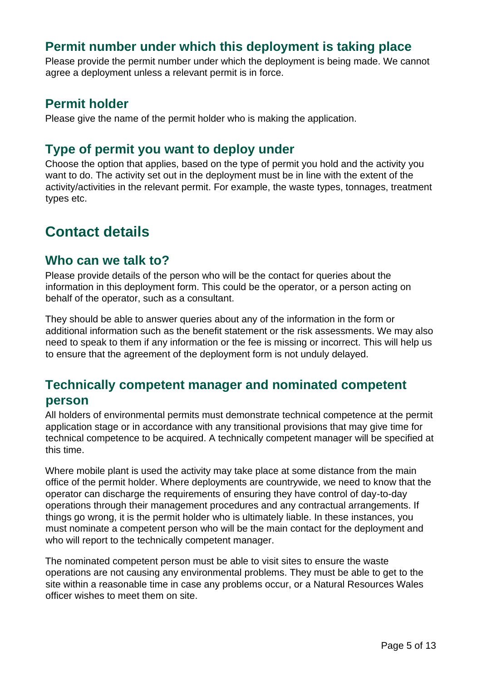#### <span id="page-4-0"></span>**Permit number under which this deployment is taking place**

Please provide the permit number under which the deployment is being made. We cannot agree a deployment unless a relevant permit is in force.

#### <span id="page-4-1"></span>**Permit holder**

Please give the name of the permit holder who is making the application.

#### <span id="page-4-2"></span>**Type of permit you want to deploy under**

Choose the option that applies, based on the type of permit you hold and the activity you want to do. The activity set out in the deployment must be in line with the extent of the activity/activities in the relevant permit. For example, the waste types, tonnages, treatment types etc.

## <span id="page-4-3"></span>**Contact details**

#### <span id="page-4-4"></span>**Who can we talk to?**

Please provide details of the person who will be the contact for queries about the information in this deployment form. This could be the operator, or a person acting on behalf of the operator, such as a consultant.

They should be able to answer queries about any of the information in the form or additional information such as the benefit statement or the risk assessments. We may also need to speak to them if any information or the fee is missing or incorrect. This will help us to ensure that the agreement of the deployment form is not unduly delayed.

## <span id="page-4-5"></span>**Technically competent manager and nominated competent person**

All holders of environmental permits must demonstrate technical competence at the permit application stage or in accordance with any transitional provisions that may give time for technical competence to be acquired. A technically competent manager will be specified at this time.

Where mobile plant is used the activity may take place at some distance from the main office of the permit holder. Where deployments are countrywide, we need to know that the operator can discharge the requirements of ensuring they have control of day-to-day operations through their management procedures and any contractual arrangements. If things go wrong, it is the permit holder who is ultimately liable. In these instances, you must nominate a competent person who will be the main contact for the deployment and who will report to the technically competent manager.

The nominated competent person must be able to visit sites to ensure the waste operations are not causing any environmental problems. They must be able to get to the site within a reasonable time in case any problems occur, or a Natural Resources Wales officer wishes to meet them on site.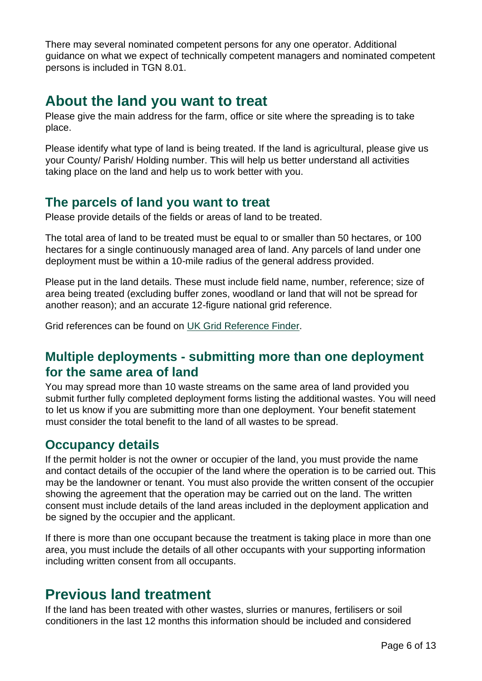There may several nominated competent persons for any one operator. Additional guidance on what we expect of technically competent managers and nominated competent persons is included in TGN 8.01.

## <span id="page-5-0"></span>**About the land you want to treat**

Please give the main address for the farm, office or site where the spreading is to take place.

Please identify what type of land is being treated. If the land is agricultural, please give us your County/ Parish/ Holding number. This will help us better understand all activities taking place on the land and help us to work better with you.

#### <span id="page-5-1"></span>**The parcels of land you want to treat**

Please provide details of the fields or areas of land to be treated.

The total area of land to be treated must be equal to or smaller than 50 hectares, or 100 hectares for a single continuously managed area of land. Any parcels of land under one deployment must be within a 10-mile radius of the general address provided.

Please put in the land details. These must include field name, number, reference; size of area being treated (excluding buffer zones, woodland or land that will not be spread for another reason); and an accurate 12-figure national grid reference.

Grid references can be found on [UK Grid Reference Finder.](http://www.gridreferencefinder.com/)

#### <span id="page-5-2"></span>**Multiple deployments - submitting more than one deployment for the same area of land**

You may spread more than 10 waste streams on the same area of land provided you submit further fully completed deployment forms listing the additional wastes. You will need to let us know if you are submitting more than one deployment. Your benefit statement must consider the total benefit to the land of all wastes to be spread.

#### <span id="page-5-3"></span>**Occupancy details**

If the permit holder is not the owner or occupier of the land, you must provide the name and contact details of the occupier of the land where the operation is to be carried out. This may be the landowner or tenant. You must also provide the written consent of the occupier showing the agreement that the operation may be carried out on the land. The written consent must include details of the land areas included in the deployment application and be signed by the occupier and the applicant.

If there is more than one occupant because the treatment is taking place in more than one area, you must include the details of all other occupants with your supporting information including written consent from all occupants.

## <span id="page-5-4"></span>**Previous land treatment**

If the land has been treated with other wastes, slurries or manures, fertilisers or soil conditioners in the last 12 months this information should be included and considered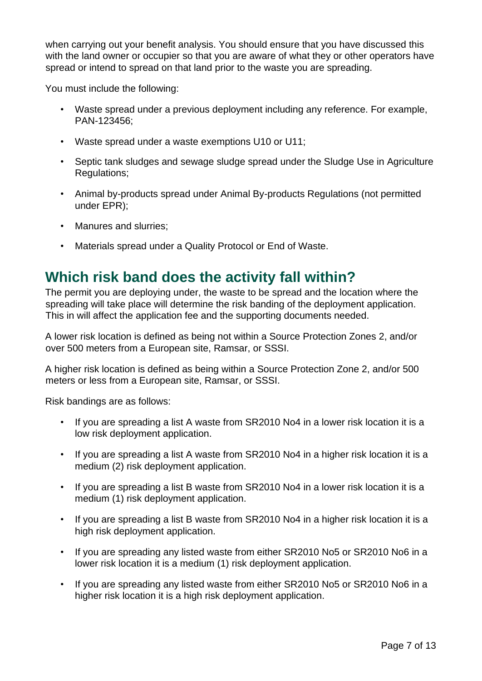when carrying out your benefit analysis. You should ensure that you have discussed this with the land owner or occupier so that you are aware of what they or other operators have spread or intend to spread on that land prior to the waste you are spreading.

You must include the following:

- Waste spread under a previous deployment including any reference. For example, PAN-123456;
- Waste spread under a waste exemptions U10 or U11;
- Septic tank sludges and sewage sludge spread under the Sludge Use in Agriculture Regulations;
- Animal by-products spread under Animal By-products Regulations (not permitted under EPR);
- Manures and slurries;
- Materials spread under a Quality Protocol or End of Waste.

## <span id="page-6-0"></span>**Which risk band does the activity fall within?**

The permit you are deploying under, the waste to be spread and the location where the spreading will take place will determine the risk banding of the deployment application. This in will affect the application fee and the supporting documents needed.

A lower risk location is defined as being not within a Source Protection Zones 2, and/or over 500 meters from a European site, Ramsar, or SSSI.

A higher risk location is defined as being within a Source Protection Zone 2, and/or 500 meters or less from a European site, Ramsar, or SSSI.

Risk bandings are as follows:

- If you are spreading a list A waste from SR2010 No4 in a lower risk location it is a low risk deployment application.
- If you are spreading a list A waste from SR2010 No4 in a higher risk location it is a medium (2) risk deployment application.
- If you are spreading a list B waste from SR2010 No4 in a lower risk location it is a medium (1) risk deployment application.
- If you are spreading a list B waste from SR2010 No4 in a higher risk location it is a high risk deployment application.
- If you are spreading any listed waste from either SR2010 No5 or SR2010 No6 in a lower risk location it is a medium (1) risk deployment application.
- If you are spreading any listed waste from either SR2010 No5 or SR2010 No6 in a higher risk location it is a high risk deployment application.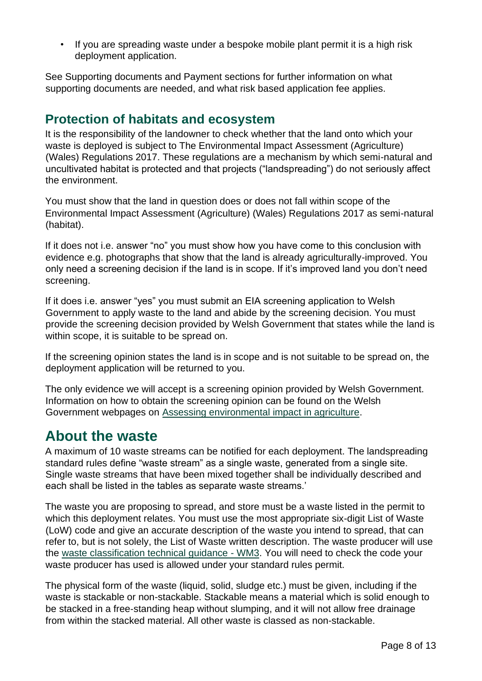• If you are spreading waste under a bespoke mobile plant permit it is a high risk deployment application.

See Supporting documents and Payment sections for further information on what supporting documents are needed, and what risk based application fee applies.

#### <span id="page-7-0"></span>**Protection of habitats and ecosystem**

It is the responsibility of the landowner to check whether that the land onto which your waste is deployed is subject to The Environmental Impact Assessment (Agriculture) (Wales) Regulations 2017. These regulations are a mechanism by which semi-natural and uncultivated habitat is protected and that projects ("landspreading") do not seriously affect the environment.

You must show that the land in question does or does not fall within scope of the Environmental Impact Assessment (Agriculture) (Wales) Regulations 2017 as semi-natural (habitat).

If it does not i.e. answer "no" you must show how you have come to this conclusion with evidence e.g. photographs that show that the land is already agriculturally-improved. You only need a screening decision if the land is in scope. If it's improved land you don't need screening.

If it does i.e. answer "yes" you must submit an EIA screening application to Welsh Government to apply waste to the land and abide by the screening decision. You must provide the screening decision provided by Welsh Government that states while the land is within scope, it is suitable to be spread on.

If the screening opinion states the land is in scope and is not suitable to be spread on, the deployment application will be returned to you.

The only evidence we will accept is a screening opinion provided by Welsh Government. Information on how to obtain the screening opinion can be found on the Welsh Government webpages on [Assessing environmental impact in agriculture.](https://gov.wales/assessing-environmental-impact-agriculture)

## <span id="page-7-1"></span>**About the waste**

A maximum of 10 waste streams can be notified for each deployment. The landspreading standard rules define "waste stream" as a single waste, generated from a single site. Single waste streams that have been mixed together shall be individually described and each shall be listed in the tables as separate waste streams.'

The waste you are proposing to spread, and store must be a waste listed in the permit to which this deployment relates. You must use the most appropriate six-digit List of Waste (LoW) code and give an accurate description of the waste you intend to spread, that can refer to, but is not solely, the List of Waste written description. The waste producer will use the [waste classification technical guidance -](https://www.gov.uk/government/publications/waste-classification-technical-guidance) WM[3.](https://www.gov.uk/government/publications/waste-classification-technical-guidance) You will need to check the code your waste producer has used is allowed under your standard rules permit.

The physical form of the waste (liquid, solid, sludge etc.) must be given, including if the waste is stackable or non-stackable. Stackable means a material which is solid enough to be stacked in a free‐standing heap without slumping, and it will not allow free drainage from within the stacked material. All other waste is classed as non-stackable.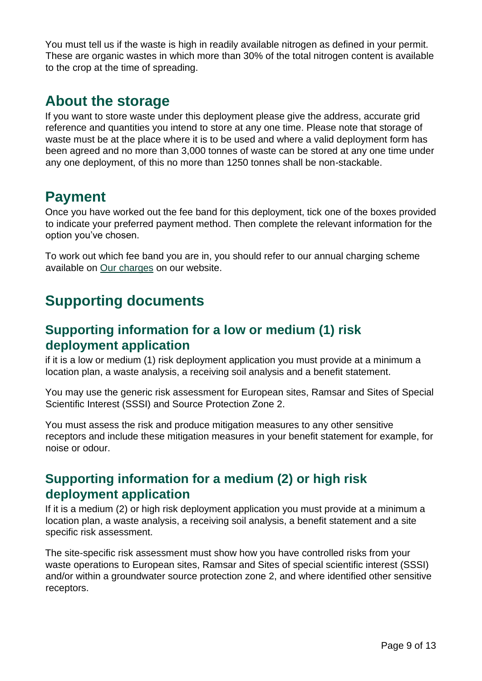You must tell us if the waste is high in readily available nitrogen as defined in your permit. These are organic wastes in which more than 30% of the total nitrogen content is available to the crop at the time of spreading.

## <span id="page-8-0"></span>**About the storage**

If you want to store waste under this deployment please give the address, accurate grid reference and quantities you intend to store at any one time. Please note that storage of waste must be at the place where it is to be used and where a valid deployment form has been agreed and no more than 3,000 tonnes of waste can be stored at any one time under any one deployment, of this no more than 1250 tonnes shall be non-stackable.

## <span id="page-8-1"></span>**Payment**

Once you have worked out the fee band for this deployment, tick one of the boxes provided to indicate your preferred payment method. Then complete the relevant information for the option you've chosen.

To work out which fee band you are in, you should refer to our annual charging scheme available on [Our charges](https://naturalresources.wales/about-us/what-we-do/how-we-regulate-you/our-charges/?lang=en) on our website.

## <span id="page-8-2"></span>**Supporting documents**

#### <span id="page-8-3"></span>**Supporting information for a low or medium (1) risk deployment application**

if it is a low or medium (1) risk deployment application you must provide at a minimum a location plan, a waste analysis, a receiving soil analysis and a benefit statement.

You may use the generic risk assessment for European sites, Ramsar and Sites of Special Scientific Interest (SSSI) and Source Protection Zone 2.

You must assess the risk and produce mitigation measures to any other sensitive receptors and include these mitigation measures in your benefit statement for example, for noise or odour.

## <span id="page-8-4"></span>**Supporting information for a medium (2) or high risk deployment application**

If it is a medium (2) or high risk deployment application you must provide at a minimum a location plan, a waste analysis, a receiving soil analysis, a benefit statement and a site specific risk assessment.

The site-specific risk assessment must show how you have controlled risks from your waste operations to European sites, Ramsar and Sites of special scientific interest (SSSI) and/or within a groundwater source protection zone 2, and where identified other sensitive receptors.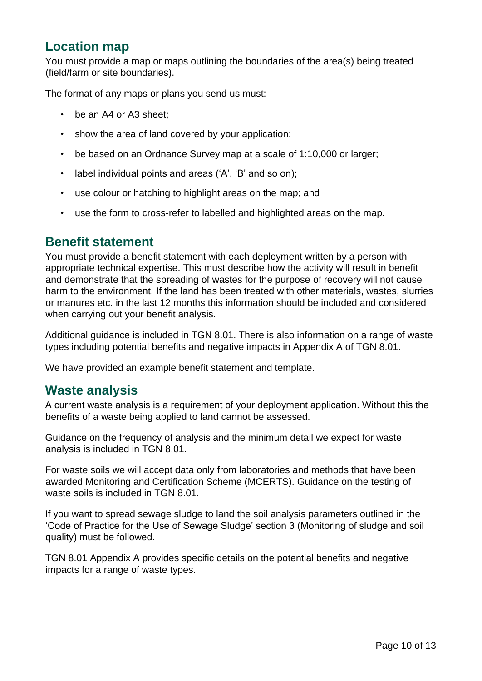#### <span id="page-9-0"></span>**Location map**

You must provide a map or maps outlining the boundaries of the area(s) being treated (field/farm or site boundaries).

The format of any maps or plans you send us must:

- be an A4 or A3 sheet;
- show the area of land covered by your application;
- be based on an Ordnance Survey map at a scale of 1:10,000 or larger;
- label individual points and areas ('A', 'B' and so on);
- use colour or hatching to highlight areas on the map; and
- use the form to cross-refer to labelled and highlighted areas on the map.

#### <span id="page-9-1"></span>**Benefit statement**

You must provide a benefit statement with each deployment written by a person with appropriate technical expertise. This must describe how the activity will result in benefit and demonstrate that the spreading of wastes for the purpose of recovery will not cause harm to the environment. If the land has been treated with other materials, wastes, slurries or manures etc. in the last 12 months this information should be included and considered when carrying out your benefit analysis.

Additional guidance is included in TGN 8.01. There is also information on a range of waste types including potential benefits and negative impacts in Appendix A of TGN 8.01.

We have provided an example benefit statement and template.

#### <span id="page-9-2"></span>**Waste analysis**

A current waste analysis is a requirement of your deployment application. Without this the benefits of a waste being applied to land cannot be assessed.

Guidance on the frequency of analysis and the minimum detail we expect for waste analysis is included in TGN 8.01.

For waste soils we will accept data only from laboratories and methods that have been awarded Monitoring and Certification Scheme (MCERTS). Guidance on the testing of waste soils is included in TGN 8.01.

If you want to spread sewage sludge to land the soil analysis parameters outlined in the 'Code of Practice for the Use of Sewage Sludge' section 3 (Monitoring of sludge and soil quality) must be followed.

TGN 8.01 Appendix A provides specific details on the potential benefits and negative impacts for a range of waste types.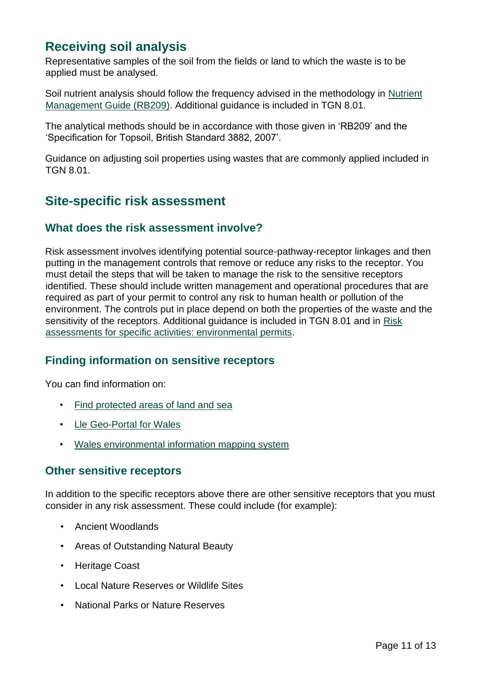## <span id="page-10-0"></span>**Receiving soil analysis**

Representative samples of the soil from the fields or land to which the waste is to be applied must be analysed.

Soil nutrient analysis should follow the frequency advised in the methodology in [Nutrient](https://ahdb.org.uk/nutrient-management-guide-rb209) [Management Guide \(RB209\).](https://ahdb.org.uk/nutrient-management-guide-rb209) Additional guidance is included in TGN 8.01.

The analytical methods should be in accordance with those given in 'RB209' and the 'Specification for Topsoil, British Standard 3882, 2007'.

Guidance on adjusting soil properties using wastes that are commonly applied included in TGN 8.01.

#### <span id="page-10-1"></span>**Site-specific risk assessment**

#### **What does the risk assessment involve?**

Risk assessment involves identifying potential source-pathway-receptor linkages and then putting in the management controls that remove or reduce any risks to the receptor. You must detail the steps that will be taken to manage the risk to the sensitive receptors identified. These should include written management and operational procedures that are required as part of your permit to control any risk to human health or pollution of the environment. The controls put in place depend on both the properties of the waste and the sensitivity of the receptors. Additional guidance is included in TGN 8.01 and in [Risk](https://www.gov.uk/government/collections/risk-assessments-for-specific-activities-environmental-permits) [assessments for specific activities: environmental permits.](https://www.gov.uk/government/collections/risk-assessments-for-specific-activities-environmental-permits) 

#### **Finding information on sensitive receptors**

You can find information on:

- [Find protected areas of land and sea](https://naturalresources.wales/guidance-and-advice/environmental-topics/wildlife-and-biodiversity/protected-areas-of-land-and-seas/find-protected-areas-of-land-and-sea/?lang=en)
- [Lle Geo-Portal for Wales](https://lle.gov.wales/home?lang=en)
- [Wales environmental information mapping system](https://naturalresources.wales/evidence-and-data/maps/wales-environmental-information/?lang=en)

#### **Other sensitive receptors**

In addition to the specific receptors above there are other sensitive receptors that you must consider in any risk assessment. These could include (for example):

- Ancient Woodlands
- Areas of Outstanding Natural Beauty
- Heritage Coast
- Local Nature Reserves or Wildlife Sites
- National Parks or Nature Reserves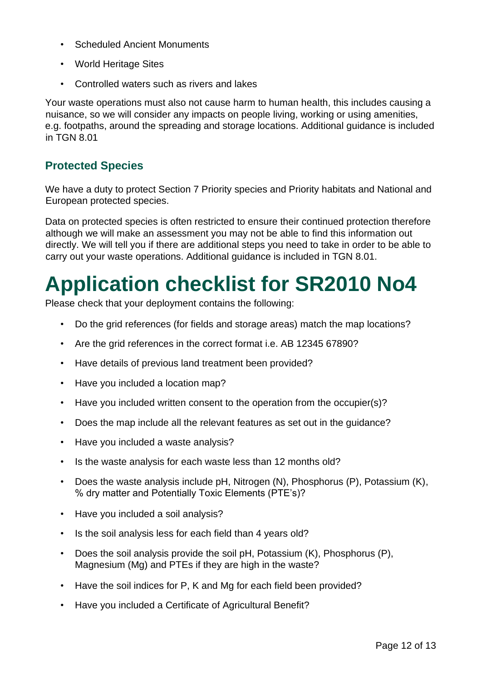- Scheduled Ancient Monuments
- World Heritage Sites
- Controlled waters such as rivers and lakes

Your waste operations must also not cause harm to human health, this includes causing a nuisance, so we will consider any impacts on people living, working or using amenities, e.g. footpaths, around the spreading and storage locations. Additional guidance is included in TGN 8.01

#### **Protected Species**

We have a duty to protect Section 7 Priority species and Priority habitats and National and European protected species.

Data on protected species is often restricted to ensure their continued protection therefore although we will make an assessment you may not be able to find this information out directly. We will tell you if there are additional steps you need to take in order to be able to carry out your waste operations. Additional guidance is included in TGN 8.01.

## <span id="page-11-0"></span>**Application checklist for SR2010 No4**

Please check that your deployment contains the following:

- Do the grid references (for fields and storage areas) match the map locations?
- Are the grid references in the correct format i.e. AB 12345 67890?
- Have details of previous land treatment been provided?
- Have you included a location map?
- Have you included written consent to the operation from the occupier(s)?
- Does the map include all the relevant features as set out in the guidance?
- Have you included a waste analysis?
- Is the waste analysis for each waste less than 12 months old?
- Does the waste analysis include pH, Nitrogen (N), Phosphorus (P), Potassium (K), % dry matter and Potentially Toxic Elements (PTE's)?
- Have you included a soil analysis?
- Is the soil analysis less for each field than 4 years old?
- Does the soil analysis provide the soil pH, Potassium (K), Phosphorus (P), Magnesium (Mg) and PTEs if they are high in the waste?
- Have the soil indices for P, K and Mg for each field been provided?
- Have you included a Certificate of Agricultural Benefit?